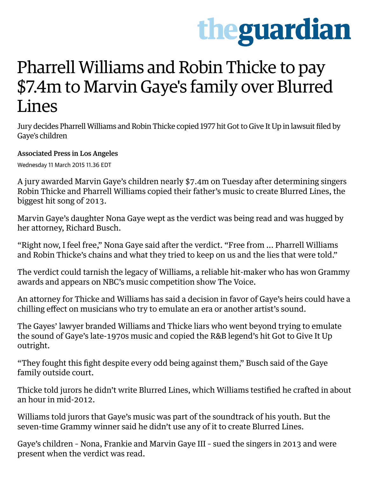## theguardian

## Pharrell Williams and Robin Thicke to pay \$7.4m to Marvin Gaye's family over Blurred Lines

Jury decides Pharrell Williams and Robin Thicke copied 1977 hit Got to Give It Up in lawsuit filed by Gaye's children

Associated Press in Los Angeles

Wednesday 11 March 2015 11.36 EDT

A jury awarded Marvin Gaye's children nearly \$7.4m on Tuesday after determining singers Robin Thicke and Pharrell [Williams](http://www.theguardian.com/music/pharrellwilliams) copied their father's music to create Blurred Lines, the biggest hit song of 2013.

Marvin Gaye's daughter Nona Gaye wept as the verdict was being read and was hugged by her attorney, Richard Busch.

"Right now, I feel free," Nona Gaye said after the verdict. "Free from ... Pharrell Williams and Robin Thicke's chains and what they tried to keep on us and the lies that were told."

The verdict could tarnish the legacy of Williams, a reliable hit-maker who has won Grammy awards and appears on NBC's music competition show The Voice.

An attorney for Thicke and Williams has said a decision in favor of Gaye's heirs could have a chilling effect on musicians who try to emulate an era or another artist's sound.

The Gayes' lawyer branded Williams and Thicke liars who went beyond trying to emulate the sound of Gaye's late-1970s music and copied the R&B legend's hit Got to Give It Up outright.

"They fought this fight despite every odd being against them," Busch said of the Gaye family outside court.

Thicke told jurors he didn't write Blurred Lines, which Williams testified he crafted in about an hour in mid-2012.

Williams told jurors that Gaye's music was part of the soundtrack of his youth. But the seven-time Grammy winner said he didn't use any of it to create Blurred Lines.

Gaye's children – Nona, Frankie and Marvin Gaye III – sued the singers in 2013 and were present when the verdict was read.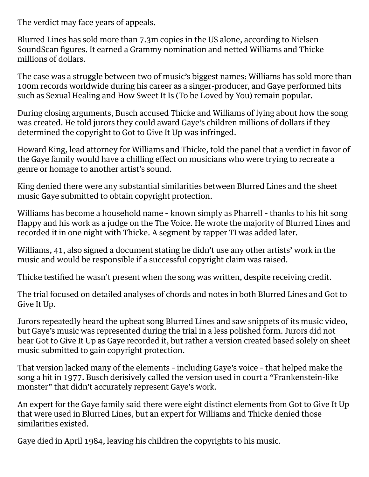The verdict may face years of appeals.

Blurred Lines has sold more than 7.3m copies in the US alone, according to Nielsen SoundScan figures. It earned a Grammy nomination and netted Williams and Thicke [millions](http://www.theguardian.com/music/2015/mar/04/robin-thicke-and-pharrell-williams-made-5m-each-from-blurred-lines) of dollars.

The case was a struggle between two of music's biggest names: Williams has sold more than 100m records worldwide during his career as a singer-producer, and Gaye performed hits such as Sexual Healing and How Sweet It Is (To be Loved by You) remain popular.

During closing arguments, Busch accused Thicke and Williams of lying about how the song was created. He told jurors they could award Gaye's children millions of dollars if they determined the copyright to Got to Give It Up was infringed.

Howard King, lead attorney for Williams and Thicke, told the panel that a verdict in favor of the Gaye family would have a chilling effect on musicians who were trying to recreate a genre or homage to another artist's sound.

King denied there were any substantial similarities between Blurred Lines and the sheet music Gaye submitted to obtain copyright protection.

Williams has become a household name – known simply as Pharrell – thanks to his hit song Happy and his work as a judge on the The Voice. He wrote the majority of Blurred Lines and recorded it in one night with Thicke. A segment by rapper TI was added later.

Williams, 41, also signed a document stating he didn't use any other artists' work in the music and would be responsible if a successful copyright claim was raised.

Thicke testified he wasn't present when the song was written, despite receiving credit.

The trial focused on detailed analyses of chords and notes in both Blurred Lines and Got to Give It Up.

Jurors repeatedly heard the upbeat song Blurred Lines and saw snippets of its music video, but Gaye's music was represented during the trial in a less polished form. Jurors did not hear Got to Give It Up as Gaye recorded it, but rather a version created based solely on sheet music submitted to gain copyright protection.

That version lacked many of the elements – including Gaye's voice – that helped make the song a hit in 1977. Busch derisively called the version used in court a "Frankenstein-like monster" that didn't accurately represent Gaye's work.

An expert for the Gaye family said there were eight distinct elements from Got to Give It Up that were used in Blurred Lines, but an expert for Williams and Thicke denied those similarities existed.

Gaye died in April 1984, leaving his children the copyrights to his music.